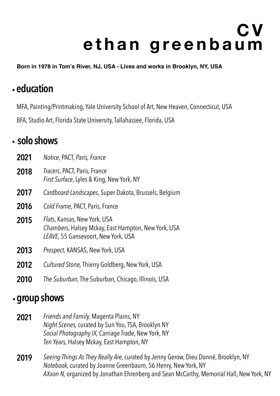# **C V ethan greenbaum**

**Born in 1978 in Tom's River, NJ, USA - Lives and works in Brooklyn, NY, USA**

## .**education**

MFA, Painting/Printmaking, Yale University School of Art, New Heaven, Connecticut, USA

BFA, Studio Art, Florida State University, Tallahassee, Florida, USA

#### .**solo shows**

| 2021 | Notice, PACT, Paris, France                                                                                                        |
|------|------------------------------------------------------------------------------------------------------------------------------------|
| 2018 | Tracers, PACT, Paris, France<br><i>First Surface, Lyles &amp; King, New York, NY</i>                                               |
| 2017 | Cardboard Landscapes, Super Dakota, Brussels, Belgium                                                                              |
| 2016 | Cold Frame, PACT, Paris, France                                                                                                    |
| 2015 | <i>Flats</i> , Kansas, New York, USA<br>Chambers, Halsey Mckay, East Hampton, New York, USA<br>LEAVE, 55 Gansevoort, New York, USA |
| 2013 | Prospect, KANSAS, New York, USA                                                                                                    |
| 2012 | Cultured Stone, Thierry Goldberg, New York, USA                                                                                    |

**2010** *The Suburban,* The Suburban, Chicago, Illinois, USA

## .**group shows**

- *Friends and Family,* Magenta Plains, NY *Night Scenes,* curated by Sun You, TSA, Brooklyn NY *Social Photography IX,* Carriage Trade, New York, NY *Ten Years,* Halsey Mckay, East Hampton, NY **2021**
- *Seeing Things As They Really Are,* curated by Jenny Gerow, Dieu Donné, Brooklyn, NY *Notebook,* curated by Joanne Greenbaum, 56 Henry, New York, NY *AXxon N,* organized by Jonathan Ehrenberg and Sean McCarthy, Memorial Hall, New York, NY **2019**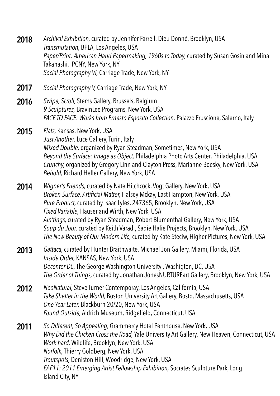*Swipe, Scroll,* Stems Gallery, Brussels, Belgium *9 Sculptures,* BravinLee Programs, New York, USA *FACE TO FACE: Works from Ernesto Esposito Collection,* Palazzo Fruscione, Salerno, Italy **2016** *Flats,* Kansas, New York, USA *Just Another,* Luce Gallery, Turin, Italy *Mixed Double,* organized by Ryan Steadman, Sometimes, New York, USA *Beyond the Surface: Image as Object,* Philadelphia Photo Arts Center, Philadelphia, USA *Crunchy,* organized by Gregory Linn and Clayton Press, Marianne Boesky, New York, USA *Behold,* Richard Heller Gallery, New York, USA **2015 2017** *Social Photography V,* Carriage Trade, New York, NY *Wigner's Friends,* curated by Nate Hitchcock, Vogt Gallery, New York, USA *Broken Surface, Artificial Matter,* Halsey Mckay, East Hampton, New York, USA *Pure Product,* curated by Isaac Lyles, 247365, Brooklyn, New York, USA *Fixed Variable,* Hauser and Wirth, New York, USA *Ain'tings,* curated by Ryan Steadman, Robert Blumenthal Gallery, New York, USA *Soup du Jour,* curated by Keith Varadi, Sadie Halie Projects, Brooklyn, New York, USA *The New Beauty of Our Modern Life,* curated by Kate Steciw, Higher Pictures, New York, USA **2014** *Gattaca,* curated by Hunter Braithwaite, Michael Jon Gallery, Miami, Florida, USA *Inside Order,* KANSAS, New York, USA *Decenter DC,* The George Washington University , Washigton, DC, USA *The Order of Things,* curated by Jonathan JonesNURTUREart Gallery, Brooklyn, New York, USA **2013** *NeoNatural,* Steve Turner Contemporay, Los Angeles, California, USA *Take Shelter in the World,* Boston University Art Gallery, Bosto, Massachusetts, USA *One Year Later,* Blackburn 20/20, New York, USA *Found Outside,* Aldrich Museum, Ridgefield, Connecticut, USA **2012** *So Different, So Appealing,* Grammercy Hotel Penthouse, New York, USA *Why Did the Chicken Cross the Road,* Yale University Art Gallery, New Heaven, Connecticut, USA *Work hard,* Wildlife, Brooklyn, New York, USA *Norfolk,* Thierry Goldberg, New York, USA *Troutspots,* Deniston Hill, Woodridge, New York, USA *EAF11: 2011 Emerging Artist Fellowship Exhibition,* Socrates Sculpture Park, Long Island City, NY **2011** *Archival Exhibition,* curated by Jennifer Farrell, Dieu Donné, Brooklyn, USA *Transmutation,* BPLA, Los Angeles, USA *Paper/Print: American Hand Papermaking, 1960s to Today,* curated by Susan Gosin and Mina Takahashi, IPCNY, New York, NY *Social Photography VI,* Carriage Trade, New York, NY **2018**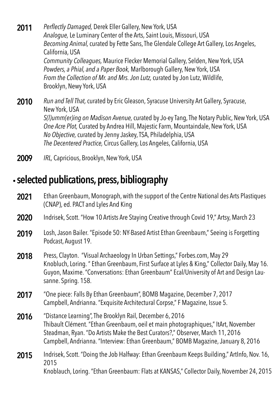*Run and Tell That,* curated by Eric Gleason, Syracuse University Art Gallery, Syracuse, New York, USA *S(l)umm(er)ing on Madison Avenue,* curated by Jo-ey Tang, The Notary Public, New York, USA *One Acre Plot,* Curated by Andrea Hill, Majestic Farm, Mountaindale, New York, USA *No Objective,* curated by Jenny Jaskey, TSA, Philadelphia, USA **2010** *Perflectly Damaged,* Derek Eller Gallery, New York, USA *Analogue,* Le Luminary Center of the Arts, Saint Louis, Missouri, USA *Becoming Animal,* curated by Fette Sans, The Glendale College Art Gallery, Los Angeles, California, USA *Community Colleagues,* Maurice Flecker Memorial Gallery, Selden, New York, USA *Powders, a Phial, and a Paper Book,* Marlborough Gallery, New York, USA *From the Collection of Mr. and Mrs. Jon Lutz,* curated by Jon Lutz, Wildlife, Brooklyn, Newy York, USA **2011**

*The Decentered Practice,* Circus Gallery, Los Angeles, California, USA

**2009** *IRL,* Capricious, Brooklyn, New York, USA

# .**selected publications, press, bibliography**

- Ethan Greenbaum, Monograph, with the support of the Centre National des Arts Plastiques (CNAP), ed. PACT and Lyles And King **2021**
- **2020** Indrisek, Scott. "How 10 Artists Are Staying Creative through Covid 19," Artsy, March 23
- Losh, Jason Bailer. "Episode 50: NY-Based Artist Ethan Greenbaum," Seeing is Forgetting Podcast, August 19. **2019**
- Press, Clayton. "Visual Archaeology In Urban Settings," Forbes.com, May 29 Knobluch, Loring. " Ethan Greenbaum, First Surface at Lyles & King," Collector Daily, May 16. Guyon, Maxime. "Conversations: Ethan Greenbaum" Ecal/University of Art and Design Lausanne. Spring. 158. **2018**
- "One piece: Falls By Ethan Greenbaum", BOMB Magazine, December 7, 2017 Campbell, Andrianna. "Exquisite Architectural Corpse," F Magazine, Issue 5. **2017**
- "Distance Learning", The Brooklyn Rail, December 6, 2016 Thibault Clément. "Ethan Greenbaum, oeil et main photographiques," ItArt, November Steadman, Ryan. "Do Artists Make the Best Curators?," Observer, March 11, 2016 Campbell, Andrianna. "Interview: Ethan Greenbaum," BOMB Magazine, January 8, 2016 **2016**
- Indrisek, Scott. "Doing the Job Halfway: Ethan Greenbaum Keeps Building," ArtInfo, Nov. 16, 2015 Knoblauch, Loring. "Ethan Greenbaum: Flats at KANSAS," Collector Daily, November 24, 2015 **2015**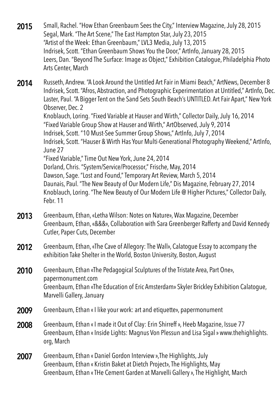Small, Rachel. "How Ethan Greenbaum Sees the City," Interview Magazine, July 28, 2015 Segal, Mark. "The Art Scene," The East Hampton Star, July 23, 2015 "Artist of the Week: Ethan Greenbaum," LVL3 Media, July 13, 2015 Indrisek, Scott. "Ethan Greenbaum Shows You the Door," ArtInfo, January 28, 2015 Leers, Dan. "Beyond The Surface: Image as Object," Exhibition Catalogue, Philadelphia Photo Arts Center, March **2015**

Russeth, Andrew. "A Look Around the Untitled Art Fair in Miami Beach," ArtNews, December 8 Indrisek, Scott. "Afros, Abstraction, and Photographic Experimentation at Untitled," ArtInfo, Dec. Laster, Paul. "A Bigger Tent on the Sand Sets South Beach's UNTITLED. Art Fair Apart," New York Observer, Dec. 2 **2014**

Knoblauch, Loring. "Fixed Variable at Hauser and Wirth," Collector Daily, July 16, 2014 "Fixed Variable Group Show at Hauser and Wirth," ArtObserved, July 9, 2014 Indrisek, Scott. "10 Must-See Summer Group Shows," ArtInfo, July 7, 2014 Indrisek, Scott. "Hauser & Wirth Has Your Multi-Generational Photography Weekend," ArtInfo, June 27 "Fixed Variable," Time Out New York, June 24, 2014 Dorland, Chris. "System/Service/Processor," Frische, May, 2014 Dawson, Sage. "Lost and Found," Temporary Art Review, March 5, 2014 Daunais, Paul. "The New Beauty of Our Modern Life," Dis Magazine, February 27, 2014

Knoblauch, Loring. "The New Beauty of Our Modern Life @ Higher Pictures," Collector Daily, Febr. 11

- Greenbaum, Ethan, «Letha Wilson: Notes on Nature», Wax Magazine, December Greenbaum, Ethan, «&&&», Collaboration with Sara Greenberger Rafferty and David Kennedy Cutler, Paper Cuts, December **2013**
- Greenbaum, Ethan, «The Cave of Allegory: The Wall», Calatogue Essay to accompany the exhibition Take Shelter in the World, Boston University, Boston, August **2012**
- Greenbaum, Ethan «The Pedagogical Sculptures of the Tristate Area, Part One», papermonument.com Greenbaum, Ethan «The Education of Eric Amsterdam» Skyler Brickley Exhibition Calatogue, Marvelli Gallery, January **2010**
- **2009** Greenbaum, Ethan « I like your work: art and etiquette», papermonument
- Greenbaum, Ethan « I made it Out of Clay: Erin Shirreff », Heeb Magazine, Issue 77 Greenbaum, Ethan « Inside Lights: Magnus Von Plessun and Lisa Sigal » www.thehighlights. org, March **2008**
- Greenbaum, Ethan « Daniel Gordon Interview »,The Highlights, July Greenbaum, Ethan « Kristin Baket at Dietch Project», The Highlights, May Greenbaum, Ethan « THe Cement Garden at Marvelli Gallery », The Highlight, March **2007**